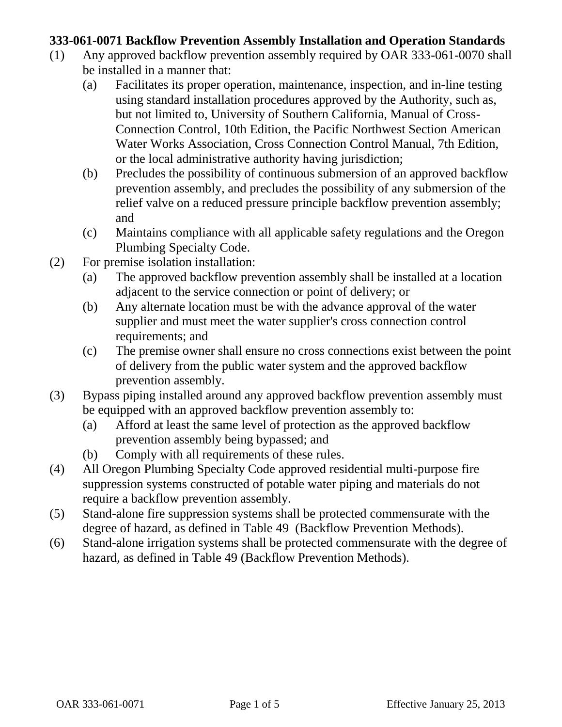## **333-061-0071 Backflow Prevention Assembly Installation and Operation Standards**

- (1) Any approved backflow prevention assembly required by OAR 333-061-0070 shall be installed in a manner that:
	- (a) Facilitates its proper operation, maintenance, inspection, and in-line testing using standard installation procedures approved by the Authority, such as, but not limited to, University of Southern California, Manual of Cross-Connection Control, 10th Edition, the Pacific Northwest Section American Water Works Association, Cross Connection Control Manual, 7th Edition, or the local administrative authority having jurisdiction;
	- (b) Precludes the possibility of continuous submersion of an approved backflow prevention assembly, and precludes the possibility of any submersion of the relief valve on a reduced pressure principle backflow prevention assembly; and
	- (c) Maintains compliance with all applicable safety regulations and the Oregon Plumbing Specialty Code.
- (2) For premise isolation installation:
	- (a) The approved backflow prevention assembly shall be installed at a location adjacent to the service connection or point of delivery; or
	- (b) Any alternate location must be with the advance approval of the water supplier and must meet the water supplier's cross connection control requirements; and
	- (c) The premise owner shall ensure no cross connections exist between the point of delivery from the public water system and the approved backflow prevention assembly.
- (3) Bypass piping installed around any approved backflow prevention assembly must be equipped with an approved backflow prevention assembly to:
	- (a) Afford at least the same level of protection as the approved backflow prevention assembly being bypassed; and
	- (b) Comply with all requirements of these rules.
- (4) All Oregon Plumbing Specialty Code approved residential multi-purpose fire suppression systems constructed of potable water piping and materials do not require a backflow prevention assembly.
- (5) Stand-alone fire suppression systems shall be protected commensurate with the degree of hazard, as defined in Table 49 (Backflow Prevention Methods).
- (6) Stand-alone irrigation systems shall be protected commensurate with the degree of hazard, as defined in Table 49 (Backflow Prevention Methods).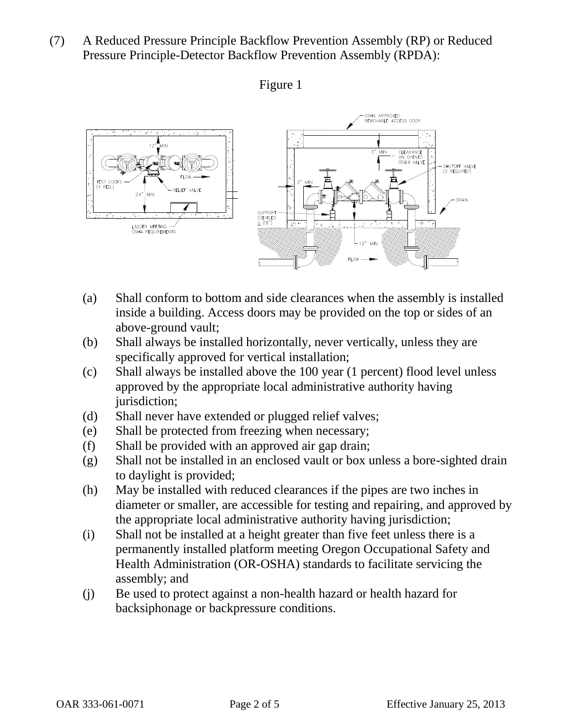(7) A Reduced Pressure Principle Backflow Prevention Assembly (RP) or Reduced Pressure Principle-Detector Backflow Prevention Assembly (RPDA):





- (a) Shall conform to bottom and side clearances when the assembly is installed inside a building. Access doors may be provided on the top or sides of an above-ground vault;
- (b) Shall always be installed horizontally, never vertically, unless they are specifically approved for vertical installation;
- (c) Shall always be installed above the 100 year (1 percent) flood level unless approved by the appropriate local administrative authority having jurisdiction;
- (d) Shall never have extended or plugged relief valves;
- (e) Shall be protected from freezing when necessary;
- (f) Shall be provided with an approved air gap drain;
- (g) Shall not be installed in an enclosed vault or box unless a bore-sighted drain to daylight is provided;
- (h) May be installed with reduced clearances if the pipes are two inches in diameter or smaller, are accessible for testing and repairing, and approved by the appropriate local administrative authority having jurisdiction;
- (i) Shall not be installed at a height greater than five feet unless there is a permanently installed platform meeting Oregon Occupational Safety and Health Administration (OR-OSHA) standards to facilitate servicing the assembly; and
- (j) Be used to protect against a non-health hazard or health hazard for backsiphonage or backpressure conditions.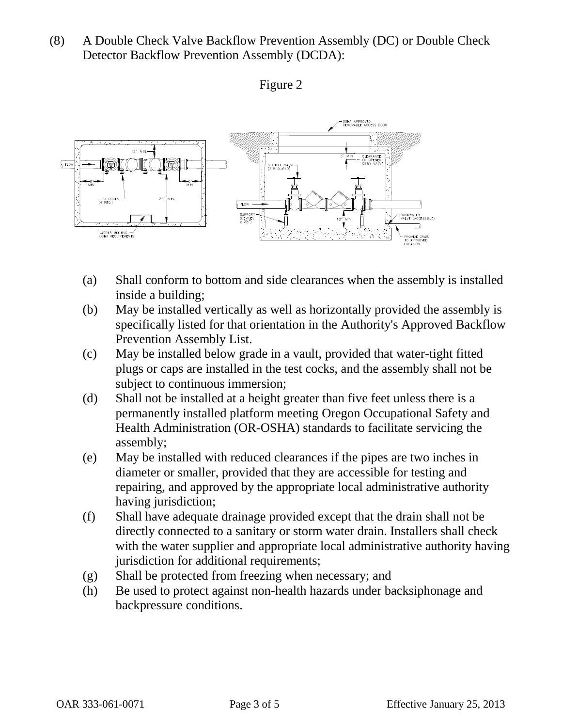(8) A Double Check Valve Backflow Prevention Assembly (DC) or Double Check Detector Backflow Prevention Assembly (DCDA):



## Figure 2

- (a) Shall conform to bottom and side clearances when the assembly is installed inside a building;
- (b) May be installed vertically as well as horizontally provided the assembly is specifically listed for that orientation in the Authority's Approved Backflow Prevention Assembly List.
- (c) May be installed below grade in a vault, provided that water-tight fitted plugs or caps are installed in the test cocks, and the assembly shall not be subject to continuous immersion;
- (d) Shall not be installed at a height greater than five feet unless there is a permanently installed platform meeting Oregon Occupational Safety and Health Administration (OR-OSHA) standards to facilitate servicing the assembly;
- (e) May be installed with reduced clearances if the pipes are two inches in diameter or smaller, provided that they are accessible for testing and repairing, and approved by the appropriate local administrative authority having jurisdiction;
- (f) Shall have adequate drainage provided except that the drain shall not be directly connected to a sanitary or storm water drain. Installers shall check with the water supplier and appropriate local administrative authority having jurisdiction for additional requirements;
- (g) Shall be protected from freezing when necessary; and
- (h) Be used to protect against non-health hazards under backsiphonage and backpressure conditions.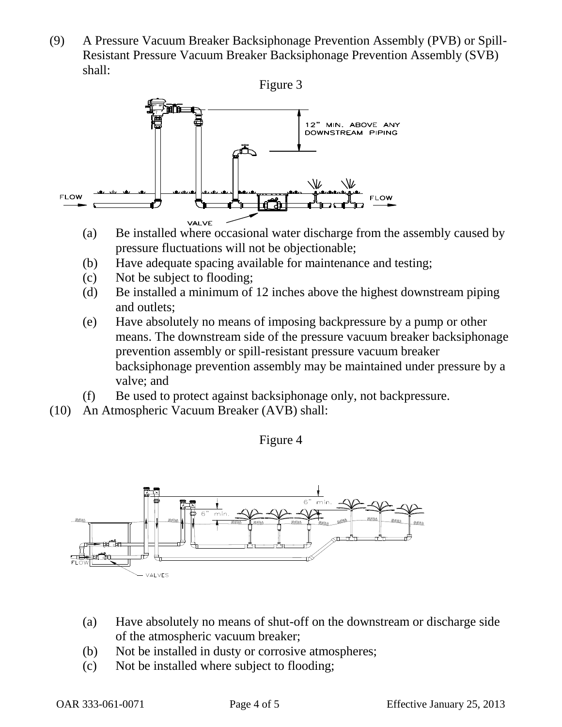(9) A Pressure Vacuum Breaker Backsiphonage Prevention Assembly (PVB) or Spill-Resistant Pressure Vacuum Breaker Backsiphonage Prevention Assembly (SVB) shall:



- (a) Be installed where occasional water discharge from the assembly caused by pressure fluctuations will not be objectionable;
- (b) Have adequate spacing available for maintenance and testing;
- (c) Not be subject to flooding;
- (d) Be installed a minimum of 12 inches above the highest downstream piping and outlets;
- (e) Have absolutely no means of imposing backpressure by a pump or other means. The downstream side of the pressure vacuum breaker backsiphonage prevention assembly or spill-resistant pressure vacuum breaker backsiphonage prevention assembly may be maintained under pressure by a valve; and
- (f) Be used to protect against backsiphonage only, not backpressure.
- (10) An Atmospheric Vacuum Breaker (AVB) shall:

Figure 4



- (a) Have absolutely no means of shut-off on the downstream or discharge side of the atmospheric vacuum breaker;
- (b) Not be installed in dusty or corrosive atmospheres;
- (c) Not be installed where subject to flooding;